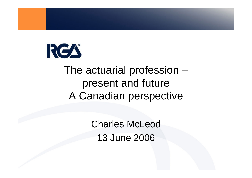

#### The actuarial profession – present and future A Canadian perspective

Charles McLeod 13 June 2006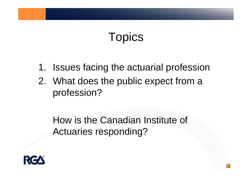## **Topics**

- 1. Issues facing the actuarial profession
- 2. What does the public expect from a profession?

How is the Canadian Institute of Actuaries responding?

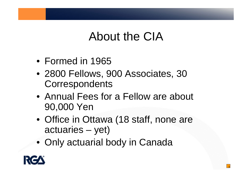### About the CIA

- Formed in 1965
- 2800 Fellows, 900 Associates, 30 **Correspondents**
- Annual Fees for a Fellow are about 90,000 Yen
- Office in Ottawa (18 staff, none are actuaries – yet)

3

• Only actuarial body in Canada

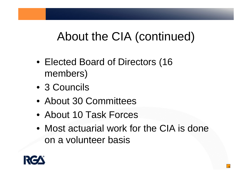### About the CIA (continued)

- Elected Board of Directors (16 members)
- 3 Councils
- About 30 Committees
- About 10 Task Forces
- Most actuarial work for the CIA is done on a volunteer basis

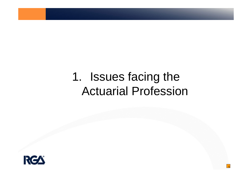### 1. Issues facing the Actuarial Profession

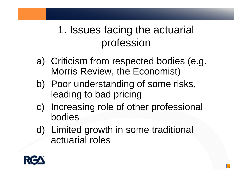#### 1. Issues facing the actuarial profession

- a) Criticism from respected bodies (e.g. Morris Review, the Economist)
- b) Poor understanding of some risks, leading to bad pricing
- c) Increasing role of other professional bodies

6

d) Limited growth in some traditional actuarial roles

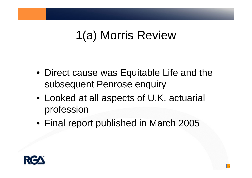### 1(a) Morris Review

- Direct cause was Equitable Life and the subsequent Penrose enquiry
- Looked at all aspects of U.K. actuarial profession
- Final report published in March 2005

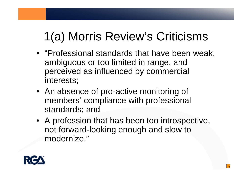## 1(a) Morris Review's Criticisms

- "Professional standards that have been weak, ambiguous or too limited in range, and perceived as influenced by commercial interests;
- An absence of pro-active monitoring of members' compliance with professional standards; and
- A profession that has been too introspective, not forward-looking enough and slow to modernize."

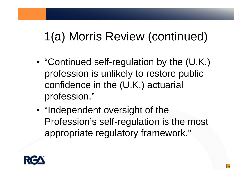## 1(a) Morris Review (continued)

- "Continued self-regulation by the (U.K.) profession is unlikely to restore public confidence in the (U.K.) actuarial profession."
- "Independent oversight of the Profession's self-regulation is the most appropriate regulatory framework."

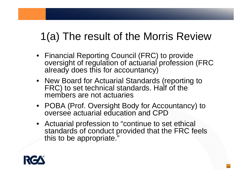### 1(a) The result of the Morris Review

- Financial Reporting Council (FRC) to provide oversight of regulation of actuarial profession (FRC already does this for accountancy)
- New Board for Actuarial Standards (reporting to FRC) to set technical standards. Half of the members are not actuaries
- POBA (Prof. Oversight Body for Accountancy) to oversee actuarial education and CPD
- Actuarial profession to "continue to set ethical standards of conduct provided that the FRC feels this to be appropriate."

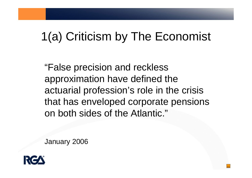## 1(a) Criticism by The Economist

"False precision and reckless approximation have defined the actuarial profession's role in the crisis that has enveloped corporate pensions on both sides of the Atlantic."

January 2006

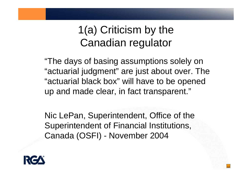#### 1(a) Criticism by the Canadian regulator

"The days of basing assumptions solely on "actuarial judgment" are just about over. The "actuarial black box" will have to be opened up and made clear, in fact transparent."

Nic LePan, Superintendent, Office of the Superintendent of Financial Institutions, Canada (OSFI) - November 2004

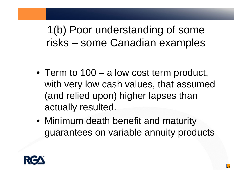1(b) Poor understanding of some risks – some Canadian examples

- Term to 100 a low cost term product, with very low cash values, that assumed (and relied upon) higher lapses than actually resulted.
- Minimum death benefit and maturity guarantees on variable annuity products

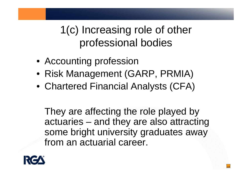1(c) Increasing role of other professional bodies

- Accounting profession
- Risk Management (GARP, PRMIA)
- Chartered Financial Analysts (CFA)

They are affecting the role played by actuaries – and they are also attracting some bright university graduates away from an actuarial career.

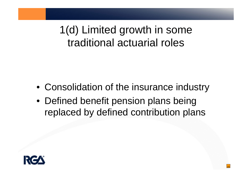1(d) Limited growth in some traditional actuarial roles

- Consolidation of the insurance industry
- Defined benefit pension plans being replaced by defined contribution plans

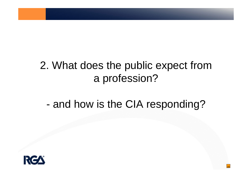#### 2. What does the public expect from a profession?

#### and how is the CIA responding?

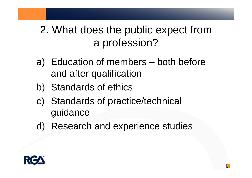#### 2. What does the public expect from a profession?

- a) Education of members both before and after qualification
- b) Standards of ethics
- c) Standards of practice/technical guidance
- d) Research and experience studies

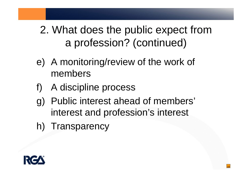#### 2. What does the public expect from a profession? (continued)

- e) A monitoring/review of the work of members
- f) A discipline process
- g) Public interest ahead of members' interest and profession's interest
- h) Transparency

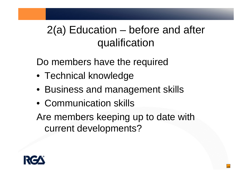#### 2(a) Education – before and after qualification

Do members have the required

- Technical knowledge
- Business and management skills
- Communication skills

Are members keeping up to date with current developments?

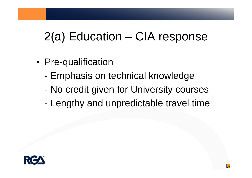## 2(a) Education – CIA response

- Pre-qualification
	- -Emphasis on technical knowledge
	- -No credit given for University courses
	- -Lengthy and unpredictable travel time

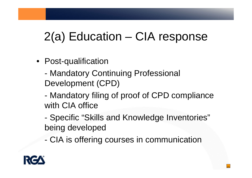## 2(a) Education – CIA response

- Post-qualification
	- - Mandatory Continuing Professional Development (CPD)
	- - Mandatory filing of proof of CPD compliance with CIA office
	- - Specific "Skills and Knowledge Inventories" being developed
	- -CIA is offering courses in communication

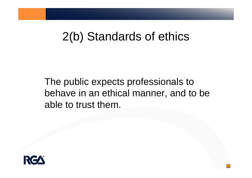### 2(b) Standards of ethics

The public expects professionals to behave in an ethical manner, and to be able to trust them.

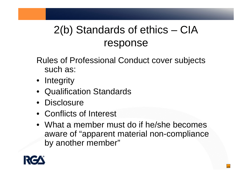### 2(b) Standards of ethics – CIA response

Rules of Professional Conduct cover subjects such as:

- Integrity
- Qualification Standards
- Disclosure
- Conflicts of Interest
- What a member must do if he/she becomes aware of "apparent material non-compliance by another member"

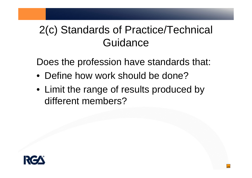#### 2(c) Standards of Practice/Technical **Guidance**

Does the profession have standards that:

- Define how work should be done?
- Limit the range of results produced by different members?

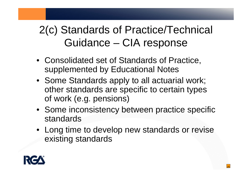#### 2(c) Standards of Practice/Technical Guidance – CIA response

- Consolidated set of Standards of Practice, supplemented by Educational Notes
- Some Standards apply to all actuarial work; other standards are specific to certain types of work (e.g. pensions)
- Some inconsistency between practice specific standards
- Long time to develop new standards or revise existing standards

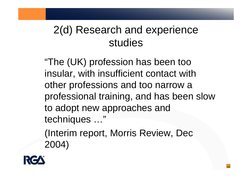#### 2(d) Research and experience studies

"The (UK) profession has been too insular, with insufficient contact with other professions and too narrow a professional training, and has been slow to adopt new approaches and techniques …"

(Interim report, Morris Review, Dec 2004)

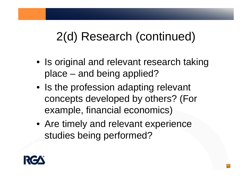### 2(d) Research (continued)

- Is original and relevant research taking place – and being applied?
- Is the profession adapting relevant concepts developed by others? (For example, financial economics)
- Are timely and relevant experience studies being performed?

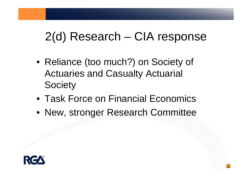### 2(d) Research – CIA response

- Reliance (too much?) on Society of Actuaries and Casualty Actuarial **Society**
- Task Force on Financial Economics
- New, stronger Research Committee

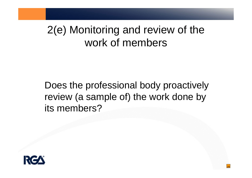#### 2(e) Monitoring and review of the work of members

Does the professional body proactively review (a sample of) the work done by its members?

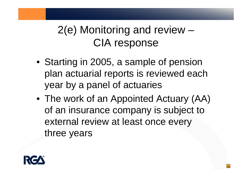#### 2(e) Monitoring and review – CIA response

- Starting in 2005, a sample of pension plan actuarial reports is reviewed each year by a panel of actuaries
- The work of an Appointed Actuary (AA) of an insurance company is subject to external review at least once every three years

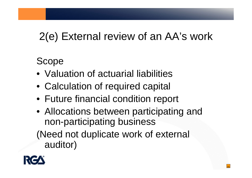### 2(e) External review of an AA's work

Scope

- Valuation of actuarial liabilities
- Calculation of required capital
- Future financial condition report
- Allocations between participating and non-participating business (Need not duplicate work of external auditor)

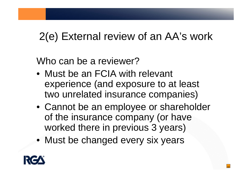### 2(e) External review of an AA's work

Who can be a reviewer?

- Must be an FCIA with relevant experience (and exposure to at least two unrelated insurance companies)
- Cannot be an employee or shareholder of the insurance company (or have worked there in previous 3 years)
- Must be changed every six years

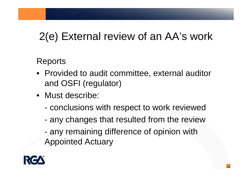### 2(e) External review of an AA's work

Reports

- Provided to audit committee, external auditor and OSFI (regulator)
- Must describe:
	- conclusions with respect to work reviewed
	- any changes that resulted from the review
	- any remaining difference of opinion with Appointed Actuary

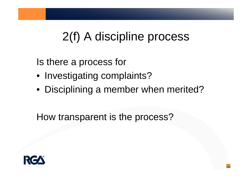### 2(f) A discipline process

Is there a process for

- Investigating complaints?
- Disciplining a member when merited?

34

How transparent is the process?

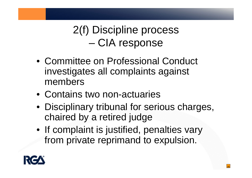2(f) Discipline process –CIA response

- Committee on Professional Conduct investigates all complaints against members
- Contains two non-actuaries
- Disciplinary tribunal for serious charges, chaired by a retired judge
- If complaint is justified, penalties vary from private reprimand to expulsion.

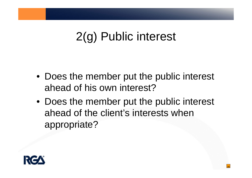## 2(g) Public interest

- Does the member put the public interest ahead of his own interest?
- Does the member put the public interest ahead of the client's interests when appropriate?

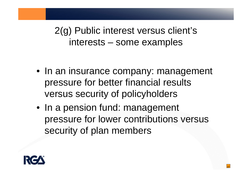2(g) Public interest versus client's interests – some examples

- In an insurance company: management pressure for better financial results versus security of policyholders
- In a pension fund: management pressure for lower contributions versus security of plan members

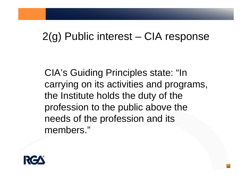#### 2(g) Public interest – CIA response

CIA's Guiding Principles state: "In carrying on its activities and programs, the Institute holds the duty of the profession to the public above the needs of the profession and its members."

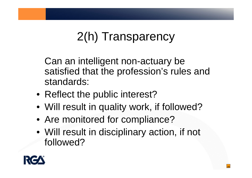# 2(h) Transparency

Can an intelligent non-actuary be satisfied that the profession's rules and standards:

- Reflect the public interest?
- Will result in quality work, if followed?
- Are monitored for compliance?
- Will result in disciplinary action, if not followed?

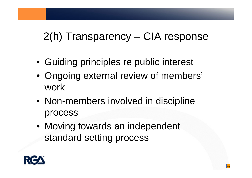#### 2(h) Transparency – CIA response

- Guiding principles re public interest
- Ongoing external review of members' work
- Non-members involved in discipline process
- Moving towards an independent standard setting process

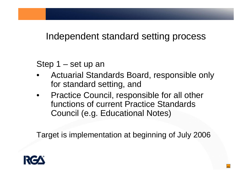Independent standard setting process

Step 1 – set up an

- • Actuarial Standards Board, responsible only for standard setting, and
- $\bullet$  Practice Council, responsible for all other functions of current Practice Standards Council (e.g. Educational Notes)

Target is implementation at beginning of July 2006

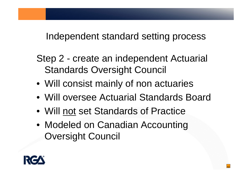Independent standard setting process

Step 2 - create an independent Actuarial Standards Oversight Council

- Will consist mainly of non actuaries
- Will oversee Actuarial Standards Board
- Will not set Standards of Practice
- Modeled on Canadian Accounting Oversight Council

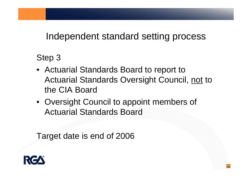Independent standard setting process

Step 3

• Actuarial Standards Board to report to Actuarial Standards Oversight Council, not to the CIA Board

43

• Oversight Council to appoint members of Actuarial Standards Board

Target date is end of 2006

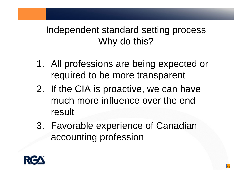#### Independent standard setting process Why do this?

- 1. All professions are being expected or required to be more transparent
- 2. If the CIA is proactive, we can have much more influence over the end result
- 3. Favorable experience of Canadian accounting profession

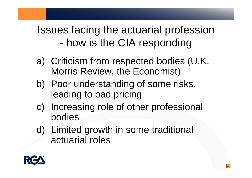#### Issues facing the actuarial profession how is the CIA responding

- a) Criticism from respected bodies (U.K. Morris Review, the Economist)
- b) Poor understanding of some risks, leading to bad pricing
- c) Increasing role of other professional bodies
- d) Limited growth in some traditional actuarial roles

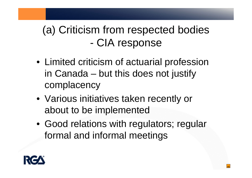#### (a) Criticism from respected bodies -CIA response

- Limited criticism of actuarial profession in Canada – but this does not justify complacency
- Various initiatives taken recently or about to be implemented
- Good relations with regulators; regular formal and informal meetings

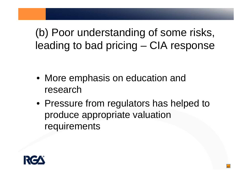(b) Poor understanding of some risks, leading to bad pricing – CIA response

- More emphasis on education and research
- Pressure from regulators has helped to produce appropriate valuation requirements

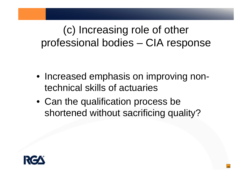#### (c) Increasing role of other professional bodies – CIA response

- Increased emphasis on improving nontechnical skills of actuaries
- Can the qualification process be shortened without sacrificing quality?

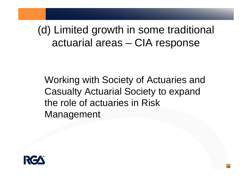#### (d) Limited growth in some traditional actuarial areas – CIA response

Working with Society of Actuaries and Casualty Actuarial Society to expand the role of actuaries in Risk Management

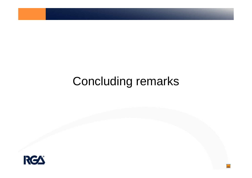## Concluding remarks